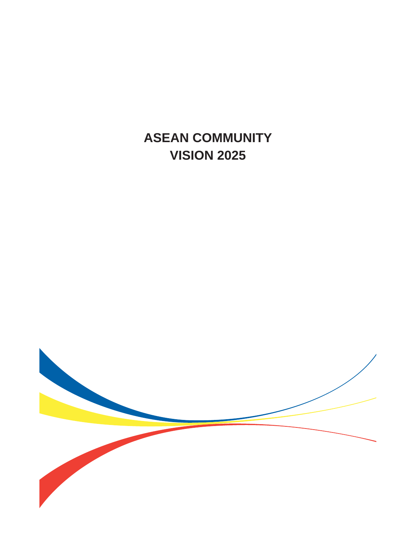**ASEAN COMMUNITY VISION 2025**

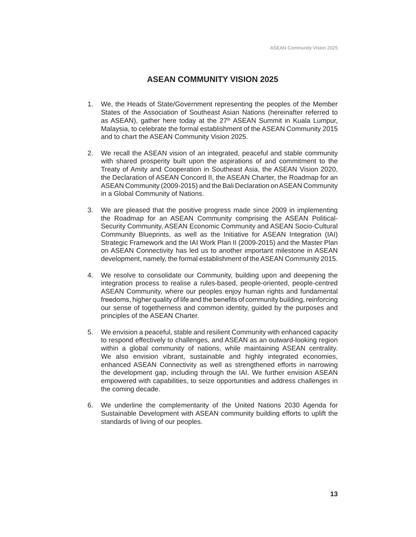# **ASEAN COMMUNITY VISION 2025**

- 1. We, the Heads of State/Government representing the peoples of the Member States of the Association of Southeast Asian Nations (hereinafter referred to as ASEAN), gather here today at the 27<sup>th</sup> ASEAN Summit in Kuala Lumpur, Malaysia, to celebrate the formal establishment of the ASEAN Community 2015 and to chart the ASEAN Community Vision 2025.
- 2. We recall the ASEAN vision of an integrated, peaceful and stable community with shared prosperity built upon the aspirations of and commitment to the Treaty of Amity and Cooperation in Southeast Asia, the ASEAN Vision 2020, the Declaration of ASEAN Concord II, the ASEAN Charter, the Roadmap for an ASEAN Community (2009-2015) and the Bali Declaration on ASEAN Community in a Global Community of Nations.
- 3. We are pleased that the positive progress made since 2009 in implementing the Roadmap for an ASEAN Community comprising the ASEAN Political-Security Community, ASEAN Economic Community and ASEAN Socio-Cultural Community Blueprints, as well as the Initiative for ASEAN Integration (IAI) Strategic Framework and the IAI Work Plan II (2009-2015) and the Master Plan on ASEAN Connectivity has led us to another important milestone in ASEAN development, namely, the formal establishment of the ASEAN Community 2015.
- 4. We resolve to consolidate our Community, building upon and deepening the integration process to realise a rules-based, people-oriented, people-centred ASEAN Community, where our peoples enjoy human rights and fundamental freedoms, higher quality of life and the benefits of community building, reinforcing our sense of togetherness and common identity, guided by the purposes and principles of the ASEAN Charter.
- 5. We envision a peaceful, stable and resilient Community with enhanced capacity to respond effectively to challenges, and ASEAN as an outward-looking region within a global community of nations, while maintaining ASEAN centrality. We also envision vibrant, sustainable and highly integrated economies, enhanced ASEAN Connectivity as well as strengthened efforts in narrowing the development gap, including through the IAI. We further envision ASEAN empowered with capabilities, to seize opportunities and address challenges in the coming decade.
- 6. We underline the complementarity of the United Nations 2030 Agenda for Sustainable Development with ASEAN community building efforts to uplift the standards of living of our peoples.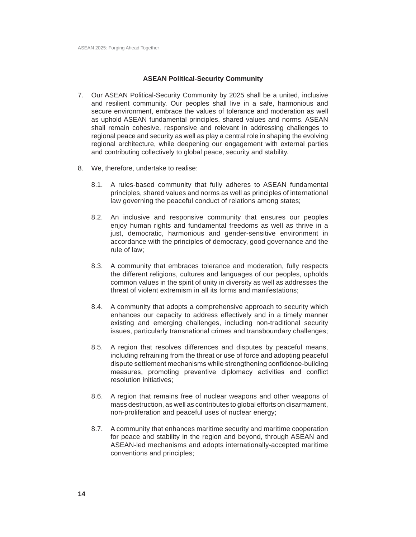### **ASEAN Political-Security Community**

- 7. Our ASEAN Political-Security Community by 2025 shall be a united, inclusive and resilient community. Our peoples shall live in a safe, harmonious and secure environment, embrace the values of tolerance and moderation as well as uphold ASEAN fundamental principles, shared values and norms. ASEAN shall remain cohesive, responsive and relevant in addressing challenges to regional peace and security as well as play a central role in shaping the evolving regional architecture, while deepening our engagement with external parties and contributing collectively to global peace, security and stability.
- 8. We, therefore, undertake to realise:
	- 8.1. A rules-based community that fully adheres to ASEAN fundamental principles, shared values and norms as well as principles of international law governing the peaceful conduct of relations among states;
	- 8.2. An inclusive and responsive community that ensures our peoples enjoy human rights and fundamental freedoms as well as thrive in a just, democratic, harmonious and gender-sensitive environment in accordance with the principles of democracy, good governance and the rule of law;
	- 8.3. A community that embraces tolerance and moderation, fully respects the different religions, cultures and languages of our peoples, upholds common values in the spirit of unity in diversity as well as addresses the threat of violent extremism in all its forms and manifestations;
	- 8.4. A community that adopts a comprehensive approach to security which enhances our capacity to address effectively and in a timely manner existing and emerging challenges, including non-traditional security issues, particularly transnational crimes and transboundary challenges;
	- 8.5. A region that resolves differences and disputes by peaceful means, including refraining from the threat or use of force and adopting peaceful dispute settlement mechanisms while strengthening confidence-building measures, promoting preventive diplomacy activities and conflict resolution initiatives;
	- 8.6. A region that remains free of nuclear weapons and other weapons of mass destruction, as well as contributes to global efforts on disarmament, non-proliferation and peaceful uses of nuclear energy;
	- 8.7. A community that enhances maritime security and maritime cooperation for peace and stability in the region and beyond, through ASEAN and ASEAN-led mechanisms and adopts internationally-accepted maritime conventions and principles;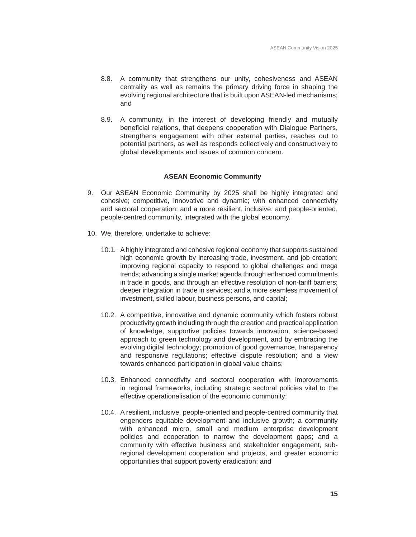- 8.8. A community that strengthens our unity, cohesiveness and ASEAN centrality as well as remains the primary driving force in shaping the evolving regional architecture that is built upon ASEAN-led mechanisms; and
- 8.9. A community, in the interest of developing friendly and mutually beneficial relations, that deepens cooperation with Dialogue Partners, strengthens engagement with other external parties, reaches out to potential partners, as well as responds collectively and constructively to global developments and issues of common concern.

## **ASEAN Economic Community**

- 9. Our ASEAN Economic Community by 2025 shall be highly integrated and cohesive; competitive, innovative and dynamic; with enhanced connectivity and sectoral cooperation; and a more resilient, inclusive, and people-oriented, people-centred community, integrated with the global economy.
- 10. We, therefore, undertake to achieve:
	- 10.1. A highly integrated and cohesive regional economy that supports sustained high economic growth by increasing trade, investment, and job creation; improving regional capacity to respond to global challenges and mega trends; advancing a single market agenda through enhanced commitments in trade in goods, and through an effective resolution of non-tariff barriers; deeper integration in trade in services; and a more seamless movement of investment, skilled labour, business persons, and capital;
	- 10.2. A competitive, innovative and dynamic community which fosters robust productivity growth including through the creation and practical application of knowledge, supportive policies towards innovation, science-based approach to green technology and development, and by embracing the evolving digital technology; promotion of good governance, transparency and responsive regulations; effective dispute resolution; and a view towards enhanced participation in global value chains;
	- 10.3. Enhanced connectivity and sectoral cooperation with improvements in regional frameworks, including strategic sectoral policies vital to the effective operationalisation of the economic community;
	- 10.4. A resilient, inclusive, people-oriented and people-centred community that engenders equitable development and inclusive growth; a community with enhanced micro, small and medium enterprise development policies and cooperation to narrow the development gaps; and a community with effective business and stakeholder engagement, subregional development cooperation and projects, and greater economic opportunities that support poverty eradication; and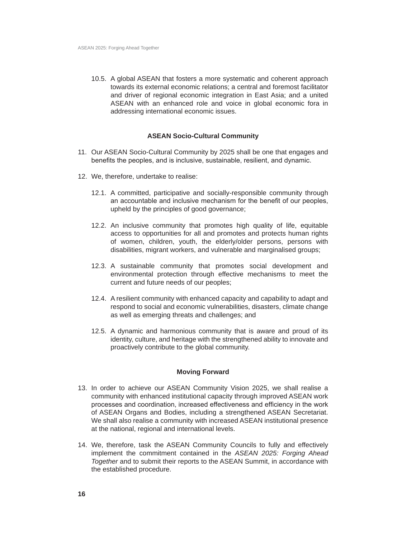10.5. A global ASEAN that fosters a more systematic and coherent approach towards its external economic relations; a central and foremost facilitator and driver of regional economic integration in East Asia; and a united ASEAN with an enhanced role and voice in global economic fora in addressing international economic issues.

### **ASEAN Socio-Cultural Community**

- 11. Our ASEAN Socio-Cultural Community by 2025 shall be one that engages and benefits the peoples, and is inclusive, sustainable, resilient, and dynamic.
- 12. We, therefore, undertake to realise:
	- 12.1. A committed, participative and socially-responsible community through an accountable and inclusive mechanism for the benefit of our peoples, upheld by the principles of good governance;
	- 12.2. An inclusive community that promotes high quality of life, equitable access to opportunities for all and promotes and protects human rights of women, children, youth, the elderly/older persons, persons with disabilities, migrant workers, and vulnerable and marginalised groups;
	- 12.3. A sustainable community that promotes social development and environmental protection through effective mechanisms to meet the current and future needs of our peoples;
	- 12.4. A resilient community with enhanced capacity and capability to adapt and respond to social and economic vulnerabilities, disasters, climate change as well as emerging threats and challenges; and
	- 12.5. A dynamic and harmonious community that is aware and proud of its identity, culture, and heritage with the strengthened ability to innovate and proactively contribute to the global community.

### **Moving Forward**

- 13. In order to achieve our ASEAN Community Vision 2025, we shall realise a community with enhanced institutional capacity through improved ASEAN work processes and coordination, increased effectiveness and efficiency in the work of ASEAN Organs and Bodies, including a strengthened ASEAN Secretariat. We shall also realise a community with increased ASEAN institutional presence at the national, regional and international levels.
- 14. We, therefore, task the ASEAN Community Councils to fully and effectively implement the commitment contained in the *ASEAN 2025: Forging Ahead Together* and to submit their reports to the ASEAN Summit, in accordance with the established procedure.